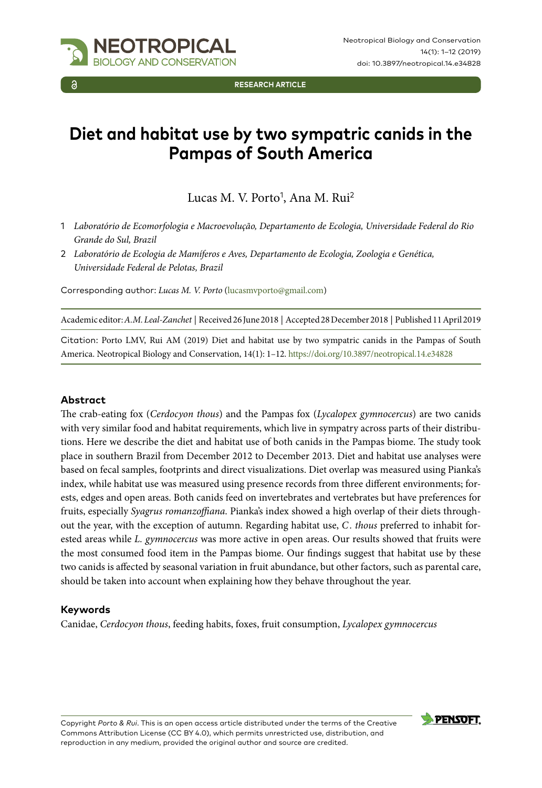

**RESEARCH ARTICLE**

# **Diet and habitat use by two sympatric canids in the Pampas of South America**

Lucas M. V. Porto<sup>1</sup>, Ana M. Rui<sup>2</sup>

- 1 *Laboratório de Ecomorfologia e Macroevolução, Departamento de Ecologia, Universidade Federal do Rio Grande do Sul, Brazil*
- 2 *Laboratório de Ecologia de Mamíferos e Aves, Departamento de Ecologia, Zoologia e Genética, Universidade Federal de Pelotas, Brazil*

Corresponding author: *Lucas M. V. Porto* ([lucasmvporto@gmail.com](mailto:lucasmvporto@gmail.com))

Academic editor: *A.M. Leal-Zanchet* | Received 26 June 2018 | Accepted 28 December 2018 | Published 11 April 2019

Citation: Porto LMV, Rui AM (2019) Diet and habitat use by two sympatric canids in the Pampas of South America. Neotropical Biology and Conservation, 14(1): 1–12.<https://doi.org/10.3897/neotropical.14.e34828>

### **Abstract**

The crab-eating fox (*Cerdocyon thous*) and the Pampas fox (*Lycalopex gymnocercus*) are two canids with very similar food and habitat requirements, which live in sympatry across parts of their distributions. Here we describe the diet and habitat use of both canids in the Pampas biome. The study took place in southern Brazil from December 2012 to December 2013. Diet and habitat use analyses were based on fecal samples, footprints and direct visualizations. Diet overlap was measured using Pianka's index, while habitat use was measured using presence records from three different environments; forests, edges and open areas. Both canids feed on invertebrates and vertebrates but have preferences for fruits, especially *Syagrus romanzoffiana*. Pianka's index showed a high overlap of their diets throughout the year, with the exception of autumn. Regarding habitat use, *C . thous* preferred to inhabit forested areas while *L. gymnocercus* was more active in open areas. Our results showed that fruits were the most consumed food item in the Pampas biome. Our findings suggest that habitat use by these two canids is affected by seasonal variation in fruit abundance, but other factors, such as parental care, should be taken into account when explaining how they behave throughout the year.

### **Keywords**

Canidae, *Cerdocyon thous*, feeding habits, foxes, fruit consumption, *Lycalopex gymnocercus*



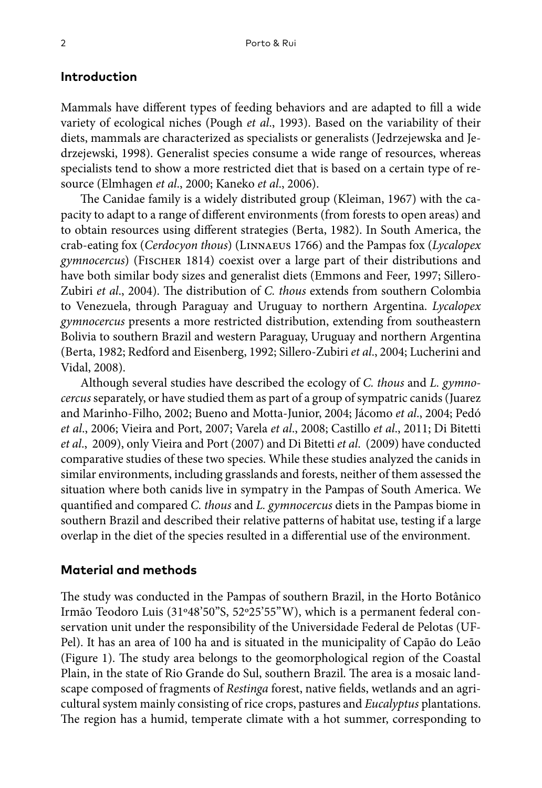# **Introduction**

Mammals have different types of feeding behaviors and are adapted to fill a wide variety of ecological niches (Pough *et al*., 1993). Based on the variability of their diets, mammals are characterized as specialists or generalists (Jedrzejewska and Jedrzejewski, 1998). Generalist species consume a wide range of resources, whereas specialists tend to show a more restricted diet that is based on a certain type of resource (Elmhagen *et al*., 2000; Kaneko *et al*., 2006).

The Canidae family is a widely distributed group (Kleiman, 1967) with the capacity to adapt to a range of different environments (from forests to open areas) and to obtain resources using different strategies (Berta, 1982). In South America, the crab-eating fox (*Cerdocyon thous*) (Linnaeus 1766) and the Pampas fox (*Lycalopex gymnocercus*) (Fischer 1814) coexist over a large part of their distributions and have both similar body sizes and generalist diets (Emmons and Feer, 1997; Sillero-Zubiri *et al*., 2004). The distribution of *C. thous* extends from southern Colombia to Venezuela, through Paraguay and Uruguay to northern Argentina. *Lycalopex gymnocercus* presents a more restricted distribution, extending from southeastern Bolivia to southern Brazil and western Paraguay, Uruguay and northern Argentina (Berta, 1982; Redford and Eisenberg, 1992; Sillero-Zubiri *et al*., 2004; Lucherini and Vidal, 2008).

Although several studies have described the ecology of *C. thous* and *L. gymnocercus* separately, or have studied them as part of a group of sympatric canids (Juarez and Marinho-Filho, 2002; Bueno and Motta-Junior, 2004; Jácomo *et al*., 2004; Pedó *et al*., 2006; Vieira and Port, 2007; Varela *et al*., 2008; Castillo *et al*., 2011; Di Bitetti *et al*., 2009), only Vieira and Port (2007) and Di Bitetti *et al*. (2009) have conducted comparative studies of these two species. While these studies analyzed the canids in similar environments, including grasslands and forests, neither of them assessed the situation where both canids live in sympatry in the Pampas of South America. We quantified and compared *C. thous* and *L. gymnocercus* diets in the Pampas biome in southern Brazil and described their relative patterns of habitat use, testing if a large overlap in the diet of the species resulted in a differential use of the environment.

### **Material and methods**

The study was conducted in the Pampas of southern Brazil, in the Horto Botânico Irmão Teodoro Luis (31º48'50"S, 52º25'55"W), which is a permanent federal conservation unit under the responsibility of the Universidade Federal de Pelotas (UF-Pel). It has an area of 100 ha and is situated in the municipality of Capão do Leão (Figure 1). The study area belongs to the geomorphological region of the Coastal Plain, in the state of Rio Grande do Sul, southern Brazil. The area is a mosaic landscape composed of fragments of *Restinga* forest, native fields, wetlands and an agricultural system mainly consisting of rice crops, pastures and *Eucalyptus* plantations. The region has a humid, temperate climate with a hot summer, corresponding to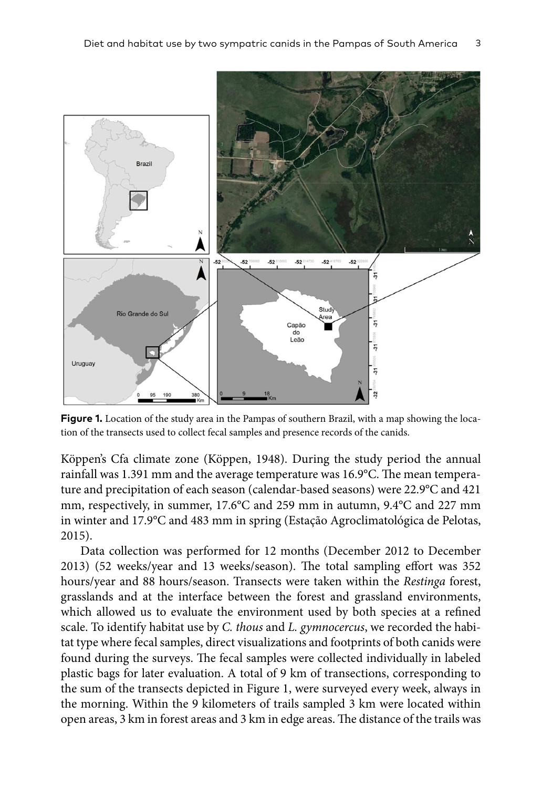

**Figure 1.** Location of the study area in the Pampas of southern Brazil, with a map showing the location of the transects used to collect fecal samples and presence records of the canids.

Köppen's Cfa climate zone (Köppen, 1948). During the study period the annual rainfall was 1.391 mm and the average temperature was 16.9°C. The mean temperature and precipitation of each season (calendar-based seasons) were 22.9°C and 421 mm, respectively, in summer, 17.6°C and 259 mm in autumn, 9.4°C and 227 mm in winter and 17.9°C and 483 mm in spring (Estação Agroclimatológica de Pelotas, 2015).

Data collection was performed for 12 months (December 2012 to December 2013) (52 weeks/year and 13 weeks/season). The total sampling effort was 352 hours/year and 88 hours/season. Transects were taken within the *Restinga* forest, grasslands and at the interface between the forest and grassland environments, which allowed us to evaluate the environment used by both species at a refined scale. To identify habitat use by *C. thous* and *L. gymnocercus*, we recorded the habitat type where fecal samples, direct visualizations and footprints of both canids were found during the surveys. The fecal samples were collected individually in labeled plastic bags for later evaluation. A total of 9 km of transections, corresponding to the sum of the transects depicted in Figure 1, were surveyed every week, always in the morning. Within the 9 kilometers of trails sampled 3 km were located within open areas, 3 km in forest areas and 3 km in edge areas. The distance of the trails was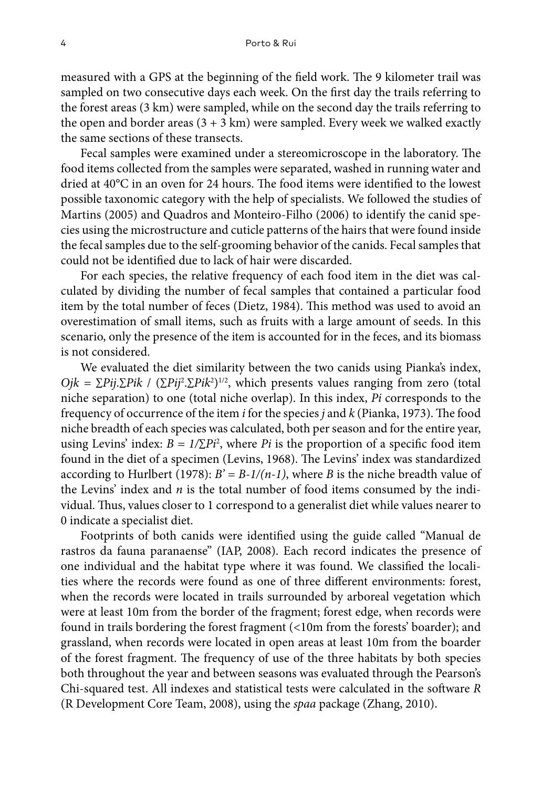measured with a GPS at the beginning of the field work. The 9 kilometer trail was sampled on two consecutive days each week. On the first day the trails referring to the forest areas (3 km) were sampled, while on the second day the trails referring to the open and border areas  $(3 + 3 \text{ km})$  were sampled. Every week we walked exactly the same sections of these transects.

Fecal samples were examined under a stereomicroscope in the laboratory. The food items collected from the samples were separated, washed in running water and dried at 40°C in an oven for 24 hours. The food items were identified to the lowest possible taxonomic category with the help of specialists. We followed the studies of Martins (2005) and Quadros and Monteiro-Filho (2006) to identify the canid species using the microstructure and cuticle patterns of the hairs that were found inside the fecal samples due to the self-grooming behavior of the canids. Fecal samples that could not be identified due to lack of hair were discarded.

For each species, the relative frequency of each food item in the diet was calculated by dividing the number of fecal samples that contained a particular food item by the total number of feces (Dietz, 1984). This method was used to avoid an overestimation of small items, such as fruits with a large amount of seeds. In this scenario, only the presence of the item is accounted for in the feces, and its biomass is not considered.

We evaluated the diet similarity between the two canids using Pianka's index, *Ojk* = ∑*Pij*.∑*Pik* / (∑*Pij*<sup>2</sup>,∑*Pik*<sup>2</sup>)<sup>1/2</sup>, which presents values ranging from zero (total niche separation) to one (total niche overlap). In this index, *Pi* corresponds to the frequency of occurrence of the item *i* for the species *j* and *k* (Pianka, 1973). The food niche breadth of each species was calculated, both per season and for the entire year, using Levins' index:  $B = 1/\sum P_i^2$ , where *Pi* is the proportion of a specific food item found in the diet of a specimen (Levins, 1968). The Levins' index was standardized according to Hurlbert (1978):  $B' = B-1/(n-1)$ , where *B* is the niche breadth value of the Levins' index and *n* is the total number of food items consumed by the individual. Thus, values closer to 1 correspond to a generalist diet while values nearer to 0 indicate a specialist diet.

Footprints of both canids were identified using the guide called "Manual de rastros da fauna paranaense" (IAP, 2008). Each record indicates the presence of one individual and the habitat type where it was found. We classified the localities where the records were found as one of three different environments: forest, when the records were located in trails surrounded by arboreal vegetation which were at least 10m from the border of the fragment; forest edge, when records were found in trails bordering the forest fragment (<10m from the forests' boarder); and grassland, when records were located in open areas at least 10m from the boarder of the forest fragment. The frequency of use of the three habitats by both species both throughout the year and between seasons was evaluated through the Pearson's Chi-squared test. All indexes and statistical tests were calculated in the software *R* (R Development Core Team, 2008), using the *spaa* package (Zhang, 2010).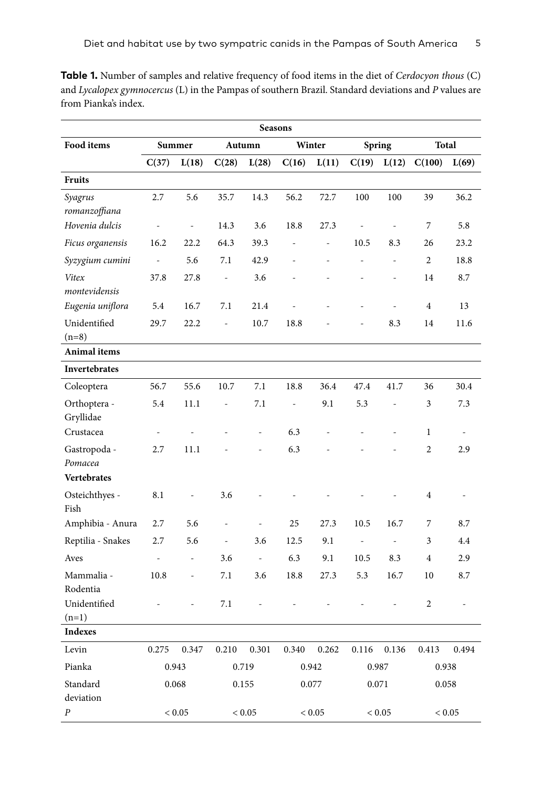| <b>Seasons</b>            |                          |       |                          |          |                |       |                |                          |                |                          |
|---------------------------|--------------------------|-------|--------------------------|----------|----------------|-------|----------------|--------------------------|----------------|--------------------------|
| Food items                | Summer                   |       | Autumn                   |          | Winter         |       | <b>Spring</b>  |                          | Total          |                          |
|                           | C(37)                    | L(18) | C(28)                    | L(28)    | C(16)          | L(11) | C(19)          | L(12)                    | C(100)         | L(69)                    |
| <b>Fruits</b>             |                          |       |                          |          |                |       |                |                          |                |                          |
| Syagrus<br>romanzoffiana  | 2.7                      | 5.6   | 35.7                     | 14.3     | 56.2           | 72.7  | 100            | 100                      | 39             | 36.2                     |
| Hovenia dulcis            | $\overline{a}$           | ÷,    | 14.3                     | 3.6      | 18.8           | 27.3  | ÷,             | $\overline{\phantom{a}}$ | 7              | 5.8                      |
| Ficus organensis          | 16.2                     | 22.2  | 64.3                     | 39.3     | $\overline{a}$ | ÷,    | 10.5           | 8.3                      | 26             | 23.2                     |
| Syzygium cumini           | $\overline{\phantom{a}}$ | 5.6   | 7.1                      | 42.9     | L,             | L,    | $\overline{a}$ | $\overline{a}$           | $\overline{c}$ | 18.8                     |
| Vitex                     | 37.8                     | 27.8  | ÷,                       | 3.6      |                |       |                | ä,                       | 14             | 8.7                      |
| montevidensis             |                          |       |                          |          |                |       |                |                          |                |                          |
| Eugenia uniflora          | 5.4                      | 16.7  | 7.1                      | 21.4     |                |       |                | $\overline{a}$           | $\overline{4}$ | 13                       |
| Unidentified              | 29.7                     | 22.2  | $\overline{\phantom{a}}$ | 10.7     | 18.8           |       |                | 8.3                      | 14             | 11.6                     |
| $(n=8)$                   |                          |       |                          |          |                |       |                |                          |                |                          |
| Animal items              |                          |       |                          |          |                |       |                |                          |                |                          |
| Invertebrates             |                          |       |                          |          |                |       |                |                          |                |                          |
| Coleoptera                | 56.7                     | 55.6  | 10.7                     | 7.1      | 18.8           | 36.4  | 47.4           | 41.7                     | 36             | 30.4                     |
| Orthoptera -<br>Gryllidae | 5.4                      | 11.1  | ÷,                       | 7.1      | ÷,             | 9.1   | 5.3            | ÷                        | 3              | 7.3                      |
| Crustacea                 | $\overline{\phantom{a}}$ | ÷,    |                          | L,       | 6.3            |       |                |                          | $\mathbf{1}$   | $\overline{\phantom{a}}$ |
| Gastropoda -<br>Pomacea   | 2.7                      | 11.1  |                          |          | 6.3            |       |                |                          | $\overline{c}$ | 2.9                      |
| Vertebrates               |                          |       |                          |          |                |       |                |                          |                |                          |
| Osteichthyes -<br>Fish    | 8.1                      | ÷,    | 3.6                      |          |                |       |                |                          | $\overline{4}$ | $\overline{\phantom{a}}$ |
| Amphibia - Anura          | 2.7                      | 5.6   | $\overline{\phantom{a}}$ | ÷,       | 25             | 27.3  | 10.5           | 16.7                     | 7              | 8.7                      |
| Reptilia - Snakes         | 2.7                      | 5.6   | $\overline{\phantom{a}}$ | 3.6      | 12.5           | 9.1   | $\blacksquare$ | $\overline{a}$           | 3              | 4.4                      |
| Aves                      | $\overline{a}$           | ÷,    | 3.6                      | $\omega$ | 6.3            | 9.1   | 10.5           | 8.3                      | $\overline{4}$ | 2.9                      |
| Mammalia -<br>Rodentia    | 10.8                     | ÷,    | 7.1                      | 3.6      | 18.8           | 27.3  | 5.3            | 16.7                     | 10             | 8.7                      |
| Unidentified<br>$(n=1)$   | L,                       | ÷,    | 7.1                      |          |                |       | ÷,             | ÷,                       | $\overline{c}$ | ÷,                       |
| <b>Indexes</b>            |                          |       |                          |          |                |       |                |                          |                |                          |
| Levin                     | 0.275                    | 0.347 | 0.210                    | 0.301    | 0.340          | 0.262 | 0.116          | 0.136                    | 0.413          | 0.494                    |
| Pianka                    | 0.943                    |       | 0.719                    |          | 0.942          |       | 0.987          |                          | 0.938          |                          |
| Standard<br>deviation     | 0.068                    |       | 0.155                    |          | 0.077          |       | 0.071          |                          | 0.058          |                          |
| P                         | ${}< 0.05$               |       | ${}< 0.05$               |          | ${}< 0.05$     |       | ${}< 0.05$     |                          | ${}< 0.05$     |                          |

**Table 1.** Number of samples and relative frequency of food items in the diet of *Cerdocyon thous* (C) and *Lycalopex gymnocercus* (L) in the Pampas of southern Brazil. Standard deviations and *P* values are from Pianka's index.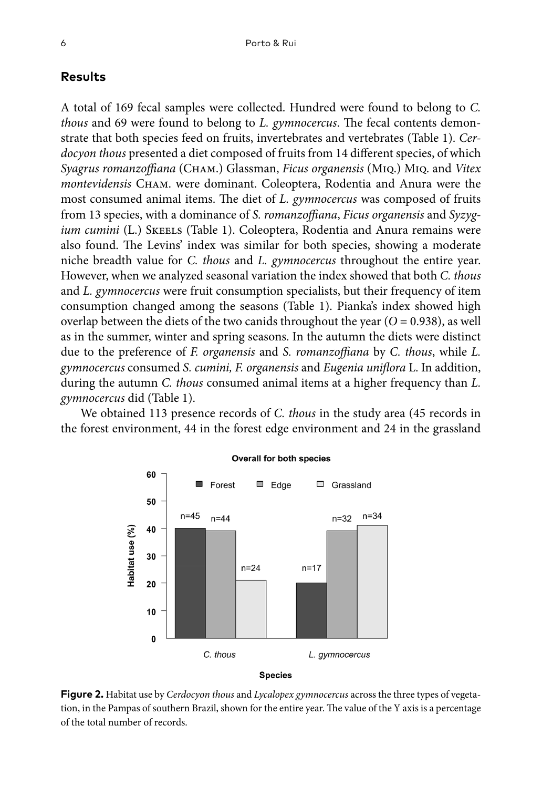## **Results**

A total of 169 fecal samples were collected. Hundred were found to belong to *C. thous* and 69 were found to belong to *L. gymnocercus*. The fecal contents demonstrate that both species feed on fruits, invertebrates and vertebrates (Table 1). *Cerdocyon thous* presented a diet composed of fruits from 14 different species, of which *Syagrus romanzoffiana* (Cham.) Glassman, *Ficus organensis* (Miq.) Miq. and *Vitex montevidensis* Cham. were dominant. Coleoptera, Rodentia and Anura were the most consumed animal items. The diet of *L. gymnocercus* was composed of fruits from 13 species, with a dominance of *S. romanzoffiana*, *Ficus organensis* and *Syzygium cumini* (L.) SKEELS (Table 1). Coleoptera, Rodentia and Anura remains were also found. The Levins' index was similar for both species, showing a moderate niche breadth value for *C. thous* and *L. gymnocercus* throughout the entire year. However, when we analyzed seasonal variation the index showed that both *C. thous* and *L. gymnocercus* were fruit consumption specialists, but their frequency of item consumption changed among the seasons (Table 1). Pianka's index showed high overlap between the diets of the two canids throughout the year  $(O = 0.938)$ , as well as in the summer, winter and spring seasons. In the autumn the diets were distinct due to the preference of *F. organensis* and *S. romanzoffiana* by *C. thous*, while *L. gymnocercus* consumed *S. cumini, F. organensis* and *Eugenia uniflora* L. In addition, during the autumn *C. thous* consumed animal items at a higher frequency than *L. gymnocercus* did (Table 1).

We obtained 113 presence records of *C. thous* in the study area (45 records in the forest environment, 44 in the forest edge environment and 24 in the grassland



#### **Overall for both species**

**Species** 

**Figure 2.** Habitat use by *Cerdocyon thous* and *Lycalopex gymnocercus* across the three types of vegetation, in the Pampas of southern Brazil, shown for the entire year. The value of the Y axis is a percentage of the total number of records.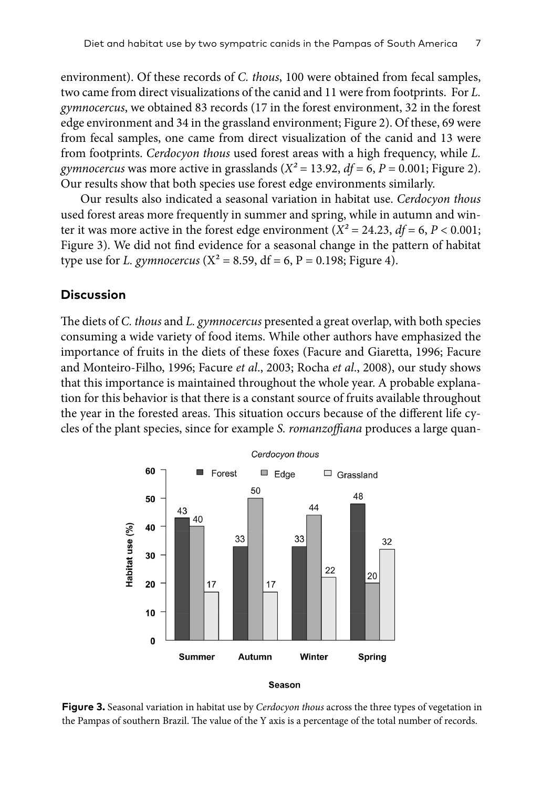environment). Of these records of *C. thous*, 100 were obtained from fecal samples, two came from direct visualizations of the canid and 11 were from footprints. For *L. gymnocercus*, we obtained 83 records (17 in the forest environment, 32 in the forest edge environment and 34 in the grassland environment; Figure 2). Of these, 69 were from fecal samples, one came from direct visualization of the canid and 13 were from footprints. *Cerdocyon thous* used forest areas with a high frequency, while *L. gymnocercus* was more active in grasslands  $(X^2 = 13.92, df = 6, P = 0.001;$  Figure 2). Our results show that both species use forest edge environments similarly.

Our results also indicated a seasonal variation in habitat use. *Cerdocyon thous* used forest areas more frequently in summer and spring, while in autumn and winter it was more active in the forest edge environment ( $X^2 = 24.23$ ,  $df = 6$ ,  $P < 0.001$ ; Figure 3). We did not find evidence for a seasonal change in the pattern of habitat type use for *L. gymnocercus* ( $X^2 = 8.59$ , df = 6, P = 0.198; Figure 4).

# **Discussion**

The diets of *C. thous* and *L. gymnocercus* presented a great overlap, with both species consuming a wide variety of food items. While other authors have emphasized the importance of fruits in the diets of these foxes (Facure and Giaretta, 1996; Facure and Monteiro-Filho, 1996; Facure *et al*., 2003; Rocha *et al*., 2008), our study shows that this importance is maintained throughout the whole year. A probable explanation for this behavior is that there is a constant source of fruits available throughout the year in the forested areas. This situation occurs because of the different life cycles of the plant species, since for example *S. romanzoffiana* produces a large quan-



**Figure 3.** Seasonal variation in habitat use by *Cerdocyon thous* across the three types of vegetation in the Pampas of southern Brazil. The value of the Y axis is a percentage of the total number of records.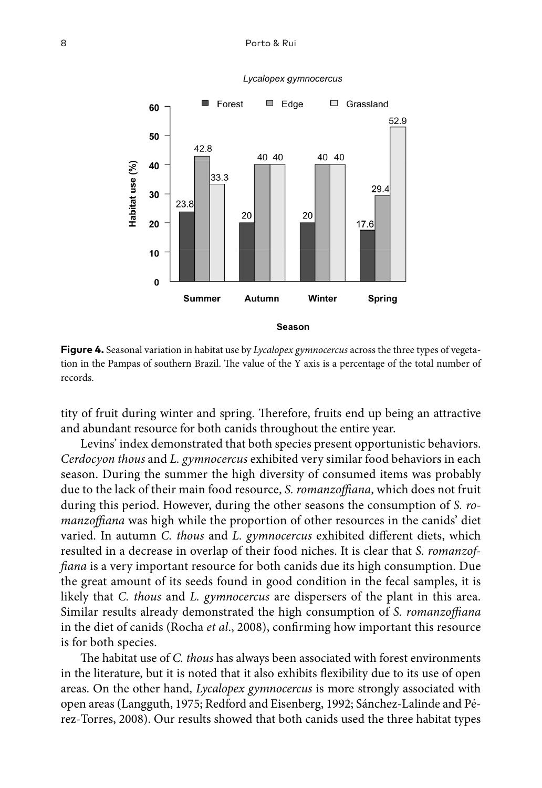#### 8 Porto & Rui



#### Lycalopex gymnocercus

**Figure 4.** Seasonal variation in habitat use by *Lycalopex gymnocercus* across the three types of vegetation in the Pampas of southern Brazil. The value of the Y axis is a percentage of the total number of records.

tity of fruit during winter and spring. Therefore, fruits end up being an attractive and abundant resource for both canids throughout the entire year.

Levins' index demonstrated that both species present opportunistic behaviors. *Cerdocyon thous* and *L. gymnocercus* exhibited very similar food behaviors in each season. During the summer the high diversity of consumed items was probably due to the lack of their main food resource, *S. romanzoffiana*, which does not fruit during this period. However, during the other seasons the consumption of *S. romanzoffiana* was high while the proportion of other resources in the canids' diet varied. In autumn *C. thous* and *L. gymnocercus* exhibited different diets, which resulted in a decrease in overlap of their food niches. It is clear that *S. romanzoffiana* is a very important resource for both canids due its high consumption. Due the great amount of its seeds found in good condition in the fecal samples, it is likely that *C. thous* and *L. gymnocercus* are dispersers of the plant in this area. Similar results already demonstrated the high consumption of *S. romanzoffiana* in the diet of canids (Rocha *et al*., 2008), confirming how important this resource is for both species.

The habitat use of *C. thous* has always been associated with forest environments in the literature, but it is noted that it also exhibits flexibility due to its use of open areas. On the other hand, *Lycalopex gymnocercus* is more strongly associated with open areas (Langguth, 1975; Redford and Eisenberg, 1992; Sánchez-Lalinde and Pérez-Torres, 2008). Our results showed that both canids used the three habitat types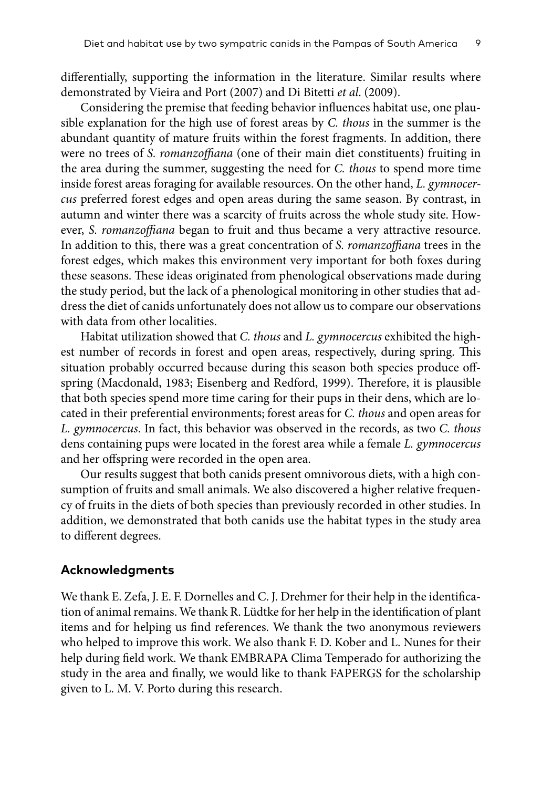differentially, supporting the information in the literature. Similar results where demonstrated by Vieira and Port (2007) and Di Bitetti *et al*. (2009).

Considering the premise that feeding behavior influences habitat use, one plausible explanation for the high use of forest areas by *C. thous* in the summer is the abundant quantity of mature fruits within the forest fragments. In addition, there were no trees of *S. romanzoffiana* (one of their main diet constituents) fruiting in the area during the summer, suggesting the need for *C. thous* to spend more time inside forest areas foraging for available resources. On the other hand, *L. gymnocercus* preferred forest edges and open areas during the same season. By contrast, in autumn and winter there was a scarcity of fruits across the whole study site. However, *S. romanzoffiana* began to fruit and thus became a very attractive resource. In addition to this, there was a great concentration of *S. romanzoffiana* trees in the forest edges, which makes this environment very important for both foxes during these seasons. These ideas originated from phenological observations made during the study period, but the lack of a phenological monitoring in other studies that address the diet of canids unfortunately does not allow us to compare our observations with data from other localities.

Habitat utilization showed that *C. thous* and *L. gymnocercus* exhibited the highest number of records in forest and open areas, respectively, during spring. This situation probably occurred because during this season both species produce offspring (Macdonald, 1983; Eisenberg and Redford, 1999). Therefore, it is plausible that both species spend more time caring for their pups in their dens, which are located in their preferential environments; forest areas for *C. thous* and open areas for *L. gymnocercus*. In fact, this behavior was observed in the records, as two *C. thous* dens containing pups were located in the forest area while a female *L. gymnocercus* and her offspring were recorded in the open area.

Our results suggest that both canids present omnivorous diets, with a high consumption of fruits and small animals. We also discovered a higher relative frequency of fruits in the diets of both species than previously recorded in other studies. In addition, we demonstrated that both canids use the habitat types in the study area to different degrees.

# **Acknowledgments**

We thank E. Zefa, J. E. F. Dornelles and C. J. Drehmer for their help in the identification of animal remains. We thank R. Lüdtke for her help in the identification of plant items and for helping us find references. We thank the two anonymous reviewers who helped to improve this work. We also thank F. D. Kober and L. Nunes for their help during field work. We thank EMBRAPA Clima Temperado for authorizing the study in the area and finally, we would like to thank FAPERGS for the scholarship given to L. M. V. Porto during this research.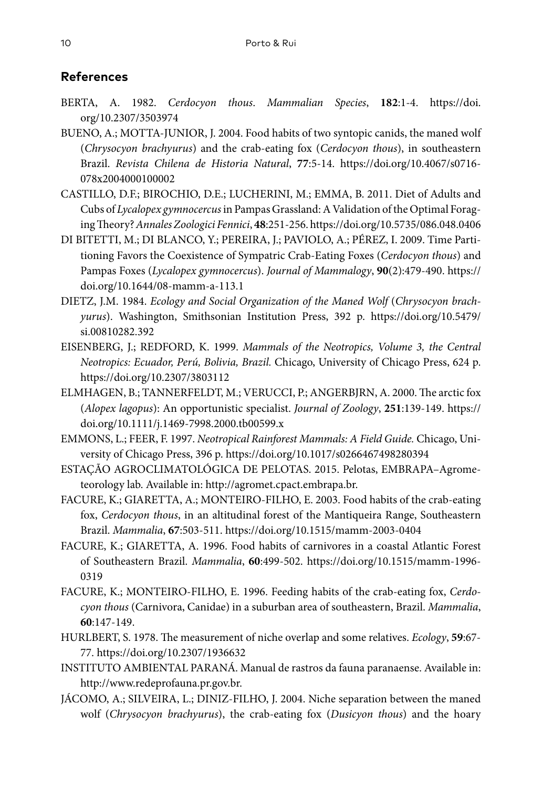# **References**

- BERTA, A. 1982. *Cerdocyon thous*. *Mammalian Species*, **182**:1-4. [https://doi.](https://doi.org/10.2307/3503974) [org/10.2307/3503974](https://doi.org/10.2307/3503974)
- BUENO, A.; MOTTA-JUNIOR, J. 2004. Food habits of two syntopic canids, the maned wolf (*Chrysocyon brachyurus*) and the crab-eating fox (*Cerdocyon thous*), in southeastern Brazil. *Revista Chilena de Historia Natural*, **77**:5-14. [https://doi.org/10.4067/s0716-](https://doi.org/10.4067/s0716-078x2004000100002) [078x2004000100002](https://doi.org/10.4067/s0716-078x2004000100002)
- CASTILLO, D.F.; BIROCHIO, D.E.; LUCHERINI, M.; EMMA, B. 2011. Diet of Adults and Cubs of *Lycalopex gymnocercus* in Pampas Grassland: A Validation of the Optimal Foraging Theory? *Annales Zoologici Fennici*, **48**:251-256.<https://doi.org/10.5735/086.048.0406>
- DI BITETTI, M.; DI BLANCO, Y.; PEREIRA, J.; PAVIOLO, A.; PÉREZ, I. 2009. Time Partitioning Favors the Coexistence of Sympatric Crab-Eating Foxes (*Cerdocyon thous*) and Pampas Foxes (*Lycalopex gymnocercus*). *Journal of Mammalogy*, **90**(2):479-490. [https://](https://doi.org/10.1644/08-mamm-a-113.1) [doi.org/10.1644/08-mamm-a-113.1](https://doi.org/10.1644/08-mamm-a-113.1)
- DIETZ, J.M. 1984. *Ecology and Social Organization of the Maned Wolf* (*Chrysocyon brachyurus*). Washington, Smithsonian Institution Press, 392 p. [https://doi.org/10.5479/](https://doi.org/10.5479/si.00810282.392) [si.00810282.392](https://doi.org/10.5479/si.00810282.392)
- EISENBERG, J.; REDFORD, K. 1999. *Mammals of the Neotropics, Volume 3, the Central Neotropics: Ecuador, Perú, Bolivia, Brazil.* Chicago, University of Chicago Press, 624 p. <https://doi.org/10.2307/3803112>
- ELMHAGEN, B.; TANNERFELDT, M.; VERUCCI, P.; ANGERBJRN, A. 2000. The arctic fox (*Alopex lagopus*): An opportunistic specialist. *Journal of Zoology*, **251**:139-149. [https://](https://doi.org/10.1111/j.1469-7998.2000.tb00599.x) [doi.org/10.1111/j.1469-7998.2000.tb00599.x](https://doi.org/10.1111/j.1469-7998.2000.tb00599.x)
- EMMONS, L.; FEER, F. 1997. *Neotropical Rainforest Mammals: A Field Guide.* Chicago, University of Chicago Press, 396 p. <https://doi.org/10.1017/s0266467498280394>
- ESTAÇÃO AGROCLIMATOLÓGICA DE PELOTAS. 2015. Pelotas, EMBRAPA–Agrometeorology lab. Available in: [http://agromet.cpact.embrapa.br.](http://agromet.cpact.embrapa.br)
- FACURE, K.; GIARETTA, A.; MONTEIRO-FILHO, E. 2003. Food habits of the crab-eating fox, *Cerdocyon thous*, in an altitudinal forest of the Mantiqueira Range, Southeastern Brazil. *Mammalia*, **67**:503-511.<https://doi.org/10.1515/mamm-2003-0404>
- FACURE, K.; GIARETTA, A. 1996. Food habits of carnivores in a coastal Atlantic Forest of Southeastern Brazil. *Mammalia*, **60**:499-502. [https://doi.org/10.1515/mamm-1996-](https://doi.org/10.1515/mamm-1996-0319) [0319](https://doi.org/10.1515/mamm-1996-0319)
- FACURE, K.; MONTEIRO-FILHO, E. 1996. Feeding habits of the crab-eating fox, *Cerdocyon thous* (Carnivora, Canidae) in a suburban area of southeastern, Brazil. *Mammalia*, **60**:147-149.
- HURLBERT, S. 1978. The measurement of niche overlap and some relatives. *Ecology*, **59**:67- 77. <https://doi.org/10.2307/1936632>
- INSTITUTO AMBIENTAL PARANÁ. Manual de rastros da fauna paranaense. Available in: [http://www.redeprofauna.pr.gov.br.](http://www.redeprofauna.pr.gov.br)
- JÁCOMO, A.; SILVEIRA, L.; DINIZ-FILHO, J. 2004. Niche separation between the maned wolf (*Chrysocyon brachyurus*), the crab-eating fox (*Dusicyon thous*) and the hoary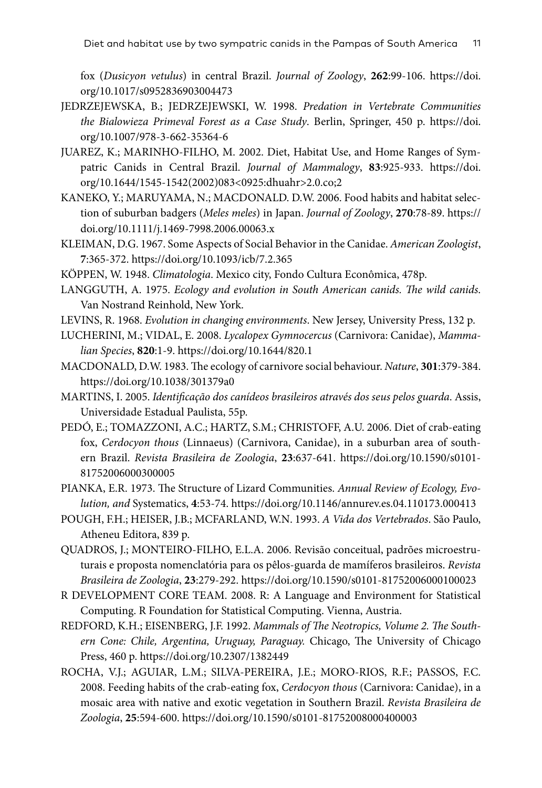fox (*Dusicyon vetulus*) in central Brazil. *Journal of Zoology*, **262**:99-106. [https://doi.](https://doi.org/10.1017/s0952836903004473) [org/10.1017/s0952836903004473](https://doi.org/10.1017/s0952836903004473)

- JEDRZEJEWSKA, B.; JEDRZEJEWSKI, W. 1998. *Predation in Vertebrate Communities the Bialowieza Primeval Forest as a Case Study*. Berlin, Springer, 450 p. [https://doi.](https://doi.org/10.1007/978-3-662-35364-6) [org/10.1007/978-3-662-35364-6](https://doi.org/10.1007/978-3-662-35364-6)
- JUAREZ, K.; MARINHO-FILHO, M. 2002. Diet, Habitat Use, and Home Ranges of Sympatric Canids in Central Brazil. *Journal of Mammalogy*, **83**:925-933. [https://doi.](https://doi.org/10.1644/1545-1542(2002)083%3C0925:dhuahr%3E2.0.co;2) [org/10.1644/1545-1542\(2002\)083<0925:dhuahr>2.0.co;2](https://doi.org/10.1644/1545-1542(2002)083%3C0925:dhuahr%3E2.0.co;2)
- KANEKO, Y.; MARUYAMA, N.; MACDONALD. D.W. 2006. Food habits and habitat selection of suburban badgers (*Meles meles*) in Japan. *Journal of Zoology*, **270**:78-89. [https://](https://doi.org/10.1111/j.1469-7998.2006.00063.x) [doi.org/10.1111/j.1469-7998.2006.00063.x](https://doi.org/10.1111/j.1469-7998.2006.00063.x)
- KLEIMAN, D.G. 1967. Some Aspects of Social Behavior in the Canidae. *American Zoologist*, **7**:365-372. <https://doi.org/10.1093/icb/7.2.365>

KÖPPEN, W. 1948. *Climatologia*. Mexico city, Fondo Cultura Econômica, 478p.

- LANGGUTH, A. 1975. *Ecology and evolution in South American canids. The wild canids*. Van Nostrand Reinhold, New York.
- LEVINS, R. 1968. *Evolution in changing environments*. New Jersey, University Press, 132 p.
- LUCHERINI, M.; VIDAL, E. 2008. *Lycalopex Gymnocercus* (Carnivora: Canidae), *Mammalian Species*, **820**:1-9.<https://doi.org/10.1644/820.1>
- MACDONALD, D.W. 1983. The ecology of carnivore social behaviour. *Nature*, **301**:379-384. <https://doi.org/10.1038/301379a0>
- MARTINS, I. 2005. *Identificação dos canídeos brasileiros através dos seus pelos guarda*. Assis, Universidade Estadual Paulista, 55p.
- PEDÓ, E.; TOMAZZONI, A.C.; HARTZ, S.M.; CHRISTOFF, A.U. 2006. Diet of crab-eating fox, *Cerdocyon thous* (Linnaeus) (Carnivora, Canidae), in a suburban area of southern Brazil. *Revista Brasileira de Zoologia*, **23**:637-641. [https://doi.org/10.1590/s0101-](https://doi.org/10.1590/s0101-81752006000300005) [81752006000300005](https://doi.org/10.1590/s0101-81752006000300005)
- PIANKA, E.R. 1973. The Structure of Lizard Communities. *Annual Review of Ecology, Evolution, and* Systematics, **4**:53-74. <https://doi.org/10.1146/annurev.es.04.110173.000413>
- POUGH, F.H.; HEISER, J.B.; MCFARLAND, W.N. 1993. *A Vida dos Vertebrados*. São Paulo, Atheneu Editora, 839 p.
- QUADROS, J.; MONTEIRO-FILHO, E.L.A. 2006. Revisão conceitual, padrões microestruturais e proposta nomenclatória para os pêlos-guarda de mamíferos brasileiros. *Revista Brasileira de Zoologia*, **23**:279-292.<https://doi.org/10.1590/s0101-81752006000100023>
- R DEVELOPMENT CORE TEAM. 2008. R: A Language and Environment for Statistical Computing. R Foundation for Statistical Computing. Vienna, Austria.
- REDFORD, K.H.; EISENBERG, J.F. 1992. *Mammals of The Neotropics, Volume 2. The Southern Cone: Chile, Argentina, Uruguay, Paraguay.* Chicago, The University of Chicago Press, 460 p. <https://doi.org/10.2307/1382449>
- ROCHA, V.J.; AGUIAR, L.M.; SILVA-PEREIRA, J.E.; MORO-RIOS, R.F.; PASSOS, F.C. 2008. Feeding habits of the crab-eating fox, *Cerdocyon thous* (Carnivora: Canidae), in a mosaic area with native and exotic vegetation in Southern Brazil. *Revista Brasileira de Zoologia*, **25**:594-600.<https://doi.org/10.1590/s0101-81752008000400003>